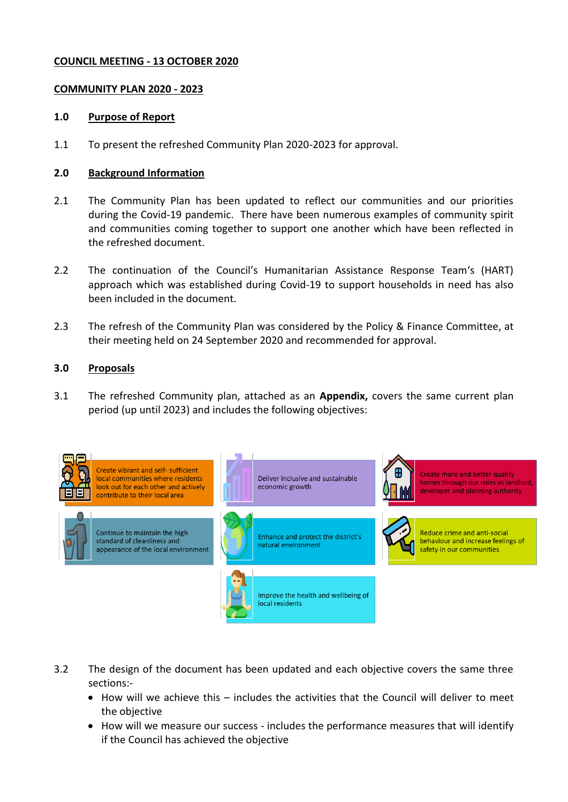## **COUNCIL MEETING - 13 OCTOBER 2020**

# **COMMUNITY PLAN 2020 - 2023**

#### **1.0 Purpose of Report**

1.1 To present the refreshed Community Plan 2020-2023 for approval.

## **2.0 Background Information**

- 2.1 The Community Plan has been updated to reflect our communities and our priorities during the Covid-19 pandemic. There have been numerous examples of community spirit and communities coming together to support one another which have been reflected in the refreshed document.
- 2.2 The continuation of the Council's Humanitarian Assistance Response Team's (HART) approach which was established during Covid-19 to support households in need has also been included in the document.
- 2.3 The refresh of the Community Plan was considered by the Policy & Finance Committee, at their meeting held on 24 September 2020 and recommended for approval.

#### **3.0 Proposals**

3.1 The refreshed Community plan, attached as an **Appendix,** covers the same current plan period (up until 2023) and includes the following objectives:



3.2 The design of the document has been updated and each objective covers the same three sections:-

- How will we achieve this includes the activities that the Council will deliver to meet the objective
- How will we measure our success includes the performance measures that will identify if the Council has achieved the objective